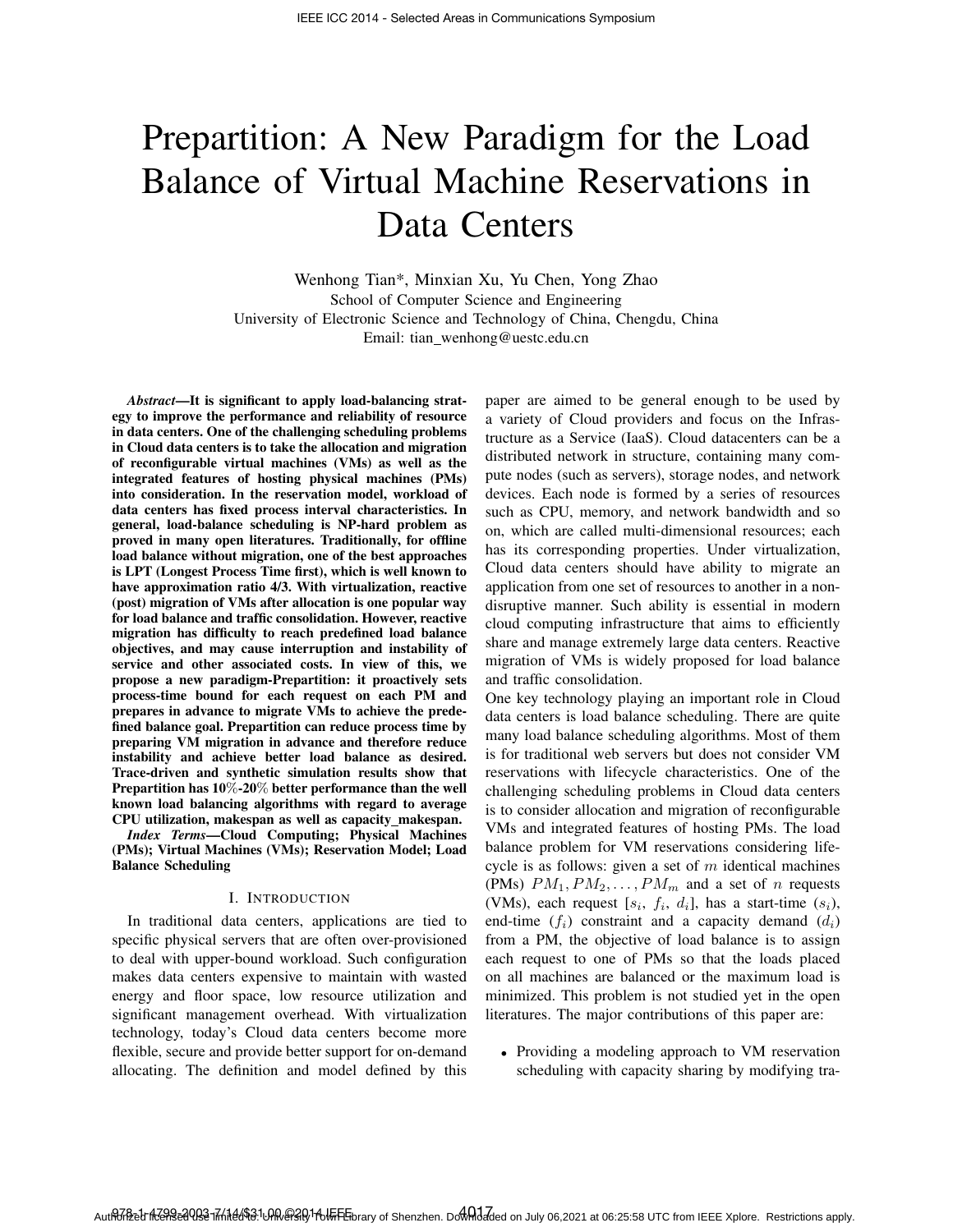# Prepartition: A New Paradigm for the Load Balance of Virtual Machine Reservations in Data Centers

Wenhong Tian\*, Minxian Xu, Yu Chen, Yong Zhao School of Computer Science and Engineering University of Electronic Science and Technology of China, Chengdu, China Email: tian wenhong@uestc.edu.cn

*Abstract*—It is significant to apply load-balancing strategy to improve the performance and reliability of resource in data centers. One of the challenging scheduling problems in Cloud data centers is to take the allocation and migration of reconfigurable virtual machines (VMs) as well as the integrated features of hosting physical machines (PMs) into consideration. In the reservation model, workload of data centers has fixed process interval characteristics. In general, load-balance scheduling is NP-hard problem as proved in many open literatures. Traditionally, for offline load balance without migration, one of the best approaches is LPT (Longest Process Time first), which is well known to have approximation ratio 4/3. With virtualization, reactive (post) migration of VMs after allocation is one popular way for load balance and traffic consolidation. However, reactive migration has difficulty to reach predefined load balance objectives, and may cause interruption and instability of service and other associated costs. In view of this, we propose a new paradigm-Prepartition: it proactively sets process-time bound for each request on each PM and prepares in advance to migrate VMs to achieve the predefined balance goal. Prepartition can reduce process time by preparing VM migration in advance and therefore reduce instability and achieve better load balance as desired. Trace-driven and synthetic simulation results show that Prepartition has 10%-20% better performance than the well known load balancing algorithms with regard to average CPU utilization, makespan as well as capacity makespan.

*Index Terms*—Cloud Computing; Physical Machines (PMs); Virtual Machines (VMs); Reservation Model; Load Balance Scheduling

#### I. INTRODUCTION

In traditional data centers, applications are tied to specific physical servers that are often over-provisioned to deal with upper-bound workload. Such configuration makes data centers expensive to maintain with wasted energy and floor space, low resource utilization and significant management overhead. With virtualization technology, today's Cloud data centers become more flexible, secure and provide better support for on-demand allocating. The definition and model defined by this

paper are aimed to be general enough to be used by a variety of Cloud providers and focus on the Infrastructure as a Service (IaaS). Cloud datacenters can be a distributed network in structure, containing many compute nodes (such as servers), storage nodes, and network devices. Each node is formed by a series of resources such as CPU, memory, and network bandwidth and so on, which are called multi-dimensional resources; each has its corresponding properties. Under virtualization, Cloud data centers should have ability to migrate an application from one set of resources to another in a nondisruptive manner. Such ability is essential in modern cloud computing infrastructure that aims to efficiently share and manage extremely large data centers. Reactive migration of VMs is widely proposed for load balance and traffic consolidation.

One key technology playing an important role in Cloud data centers is load balance scheduling. There are quite many load balance scheduling algorithms. Most of them is for traditional web servers but does not consider VM reservations with lifecycle characteristics. One of the challenging scheduling problems in Cloud data centers is to consider allocation and migration of reconfigurable VMs and integrated features of hosting PMs. The load balance problem for VM reservations considering lifecycle is as follows: given a set of  $m$  identical machines (PMs)  $PM_1, PM_2, \ldots, PM_m$  and a set of n requests (VMs), each request [ $s_i$ ,  $f_i$ ,  $d_i$ ], has a start-time  $(s_i)$ , end-time  $(f_i)$  constraint and a capacity demand  $(d_i)$ from a PM, the objective of load balance is to assign each request to one of PMs so that the loads placed on all machines are balanced or the maximum load is minimized. This problem is not studied yet in the open literatures. The major contributions of this paper are:

• Providing a modeling approach to VM reservation scheduling with capacity sharing by modifying tra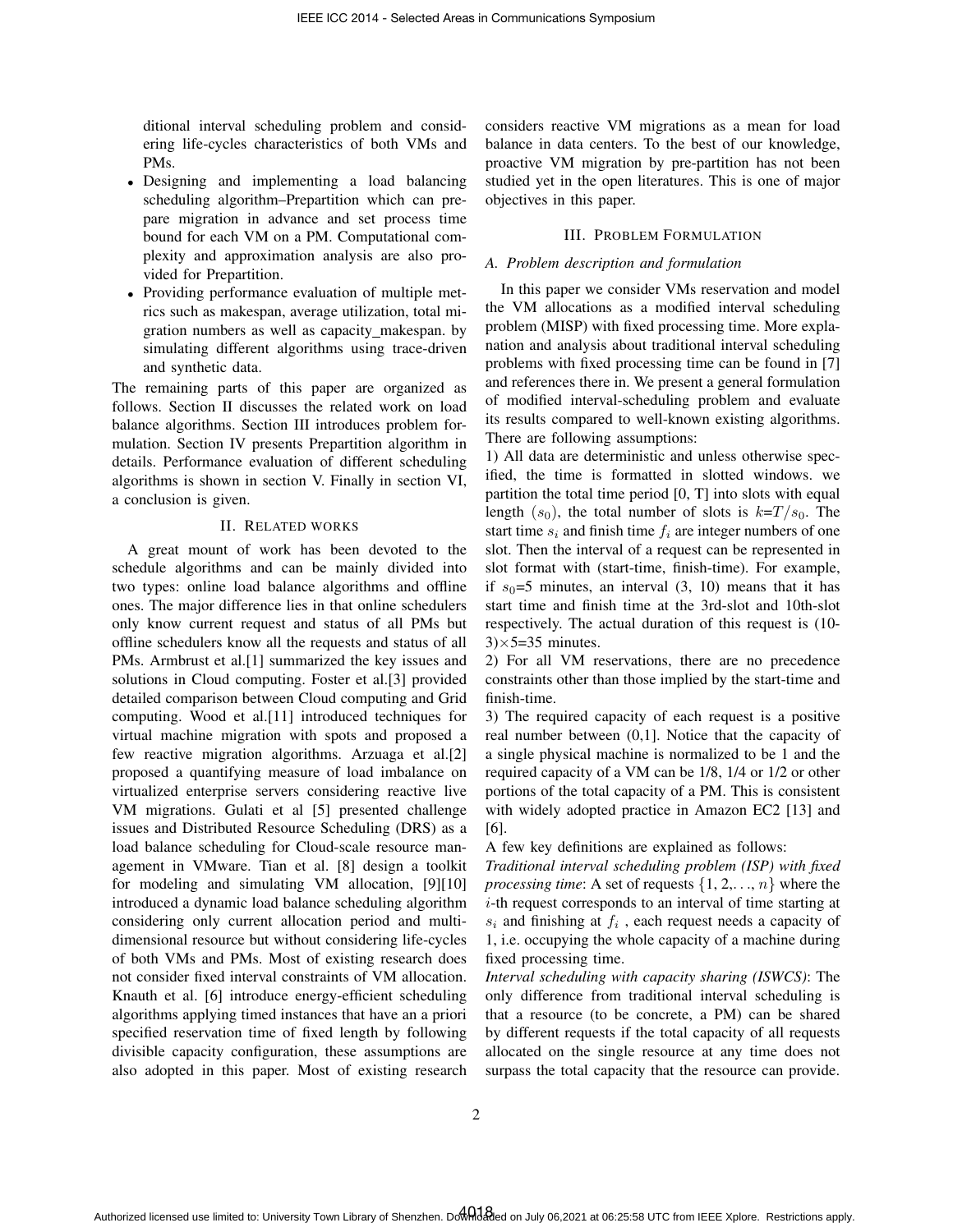ditional interval scheduling problem and considering life-cycles characteristics of both VMs and PMs.

- Designing and implementing a load balancing scheduling algorithm–Prepartition which can prepare migration in advance and set process time bound for each VM on a PM. Computational complexity and approximation analysis are also provided for Prepartition.
- Providing performance evaluation of multiple metrics such as makespan, average utilization, total migration numbers as well as capacity makespan. by simulating different algorithms using trace-driven and synthetic data.

The remaining parts of this paper are organized as follows. Section II discusses the related work on load balance algorithms. Section III introduces problem formulation. Section IV presents Prepartition algorithm in details. Performance evaluation of different scheduling algorithms is shown in section V. Finally in section VI, a conclusion is given.

## II. RELATED WORKS

A great mount of work has been devoted to the schedule algorithms and can be mainly divided into two types: online load balance algorithms and offline ones. The major difference lies in that online schedulers only know current request and status of all PMs but offline schedulers know all the requests and status of all PMs. Armbrust et al.[1] summarized the key issues and solutions in Cloud computing. Foster et al.[3] provided detailed comparison between Cloud computing and Grid computing. Wood et al.[11] introduced techniques for virtual machine migration with spots and proposed a few reactive migration algorithms. Arzuaga et al.[2] proposed a quantifying measure of load imbalance on virtualized enterprise servers considering reactive live VM migrations. Gulati et al [5] presented challenge issues and Distributed Resource Scheduling (DRS) as a load balance scheduling for Cloud-scale resource management in VMware. Tian et al. [8] design a toolkit for modeling and simulating VM allocation, [9][10] introduced a dynamic load balance scheduling algorithm considering only current allocation period and multidimensional resource but without considering life-cycles of both VMs and PMs. Most of existing research does not consider fixed interval constraints of VM allocation. Knauth et al. [6] introduce energy-efficient scheduling algorithms applying timed instances that have an a priori specified reservation time of fixed length by following divisible capacity configuration, these assumptions are also adopted in this paper. Most of existing research

considers reactive VM migrations as a mean for load balance in data centers. To the best of our knowledge, proactive VM migration by pre-partition has not been studied yet in the open literatures. This is one of major objectives in this paper.

# III. PROBLEM FORMULATION

## *A. Problem description and formulation*

In this paper we consider VMs reservation and model the VM allocations as a modified interval scheduling problem (MISP) with fixed processing time. More explanation and analysis about traditional interval scheduling problems with fixed processing time can be found in [7] and references there in. We present a general formulation of modified interval-scheduling problem and evaluate its results compared to well-known existing algorithms. There are following assumptions:

1) All data are deterministic and unless otherwise specified, the time is formatted in slotted windows. we partition the total time period [0, T] into slots with equal length  $(s_0)$ , the total number of slots is  $k=T/s_0$ . The start time  $s_i$  and finish time  $f_i$  are integer numbers of one slot. Then the interval of a request can be represented in slot format with (start-time, finish-time). For example, if  $s_0=5$  minutes, an interval (3, 10) means that it has start time and finish time at the 3rd-slot and 10th-slot respectively. The actual duration of this request is (10-  $3\times$ 5=35 minutes.

2) For all VM reservations, there are no precedence constraints other than those implied by the start-time and finish-time.

3) The required capacity of each request is a positive real number between (0,1]. Notice that the capacity of a single physical machine is normalized to be 1 and the required capacity of a VM can be 1/8, 1/4 or 1/2 or other portions of the total capacity of a PM. This is consistent with widely adopted practice in Amazon EC2 [13] and [6].

## A few key definitions are explained as follows:

*Traditional interval scheduling problem (ISP) with fixed processing time*: A set of requests  $\{1, 2, \ldots, n\}$  where the i-th request corresponds to an interval of time starting at  $s_i$  and finishing at  $f_i$ , each request needs a capacity of 1, i.e. occupying the whole capacity of a machine during fixed processing time.

*Interval scheduling with capacity sharing (ISWCS)*: The only difference from traditional interval scheduling is that a resource (to be concrete, a PM) can be shared by different requests if the total capacity of all requests allocated on the single resource at any time does not surpass the total capacity that the resource can provide.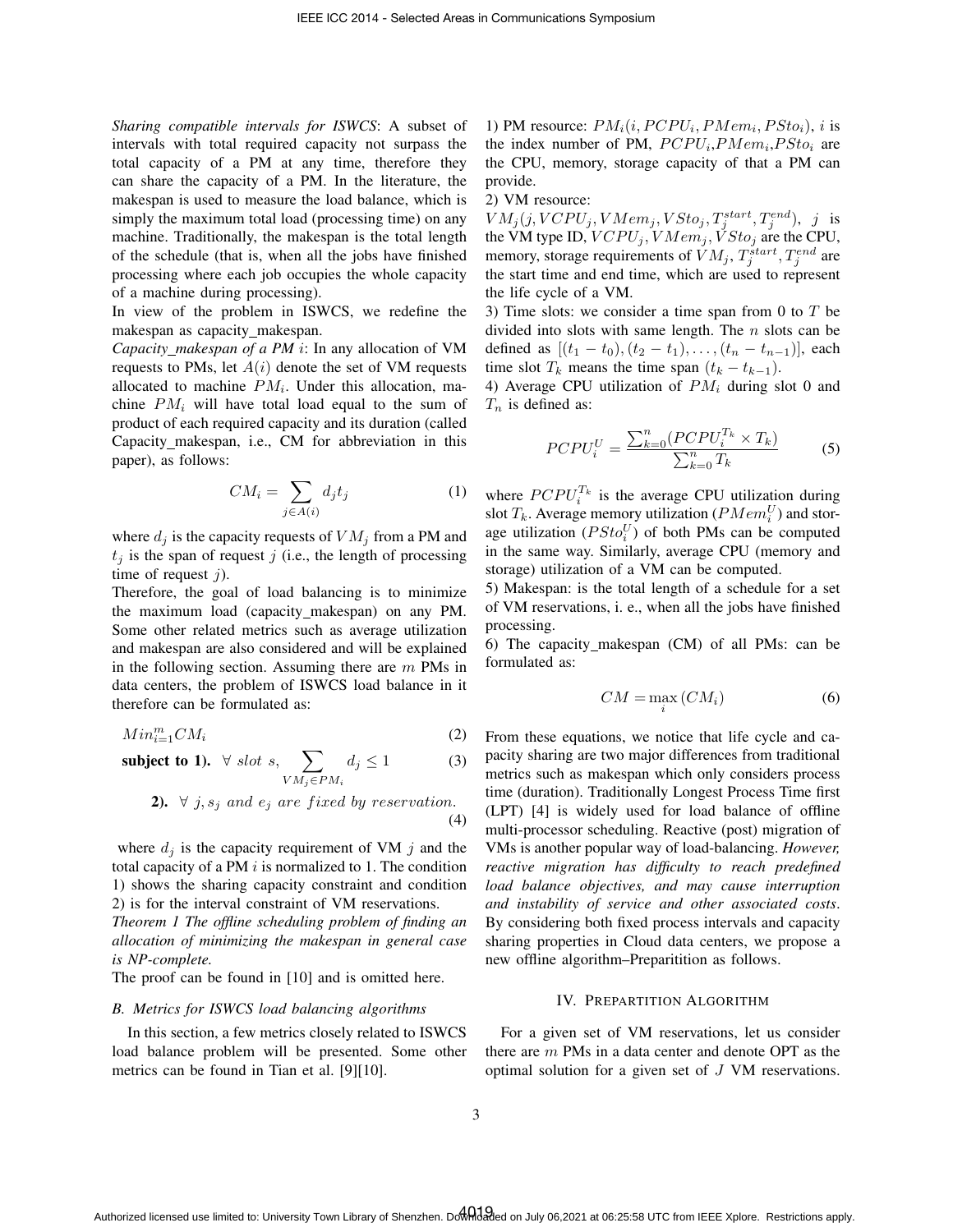*Sharing compatible intervals for ISWCS*: A subset of intervals with total required capacity not surpass the total capacity of a PM at any time, therefore they can share the capacity of a PM. In the literature, the makespan is used to measure the load balance, which is simply the maximum total load (processing time) on any machine. Traditionally, the makespan is the total length of the schedule (that is, when all the jobs have finished processing where each job occupies the whole capacity of a machine during processing).

In view of the problem in ISWCS, we redefine the makespan as capacity makespan.

*Capacity makespan of a PM* i: In any allocation of VM requests to PMs, let  $A(i)$  denote the set of VM requests allocated to machine  $PM_i$ . Under this allocation, machine  $PM_i$  will have total load equal to the sum of product of each required capacity and its duration (called Capacity makespan, i.e., CM for abbreviation in this paper), as follows:

$$
CM_i = \sum_{j \in A(i)} d_j t_j \tag{1}
$$

where  $d_j$  is the capacity requests of  $VM_j$  from a PM and  $t_j$  is the span of request j (i.e., the length of processing time of request  $j$ ).

Therefore, the goal of load balancing is to minimize the maximum load (capacity makespan) on any PM. Some other related metrics such as average utilization and makespan are also considered and will be explained in the following section. Assuming there are  $m$  PMs in data centers, the problem of ISWCS load balance in it therefore can be formulated as:

$$
Min_{i=1}^{m}CM_{i}
$$
 (2)

subject to 1).  $\forall$  slot s,  $\sum$  $VM_j \in PM_i$  $d_j \leq 1$  (3)

**2).** 
$$
\forall
$$
 *j*,  $s_j$  and  $e_j$  are fixed by reservation. (4)

where  $d_i$  is the capacity requirement of VM j and the total capacity of a PM  $i$  is normalized to 1. The condition 1) shows the sharing capacity constraint and condition 2) is for the interval constraint of VM reservations.

*Theorem 1 The offline scheduling problem of finding an allocation of minimizing the makespan in general case is NP-complete.*

The proof can be found in [10] and is omitted here.

## *B. Metrics for ISWCS load balancing algorithms*

In this section, a few metrics closely related to ISWCS load balance problem will be presented. Some other metrics can be found in Tian et al. [9][10].

1) PM resource:  $PM_i(i, PCPU_i, PMem_i, PSto_i), i$  is the index number of PM,  $PCPU_i, PMem_i, PSto_i$  are the CPU, memory, storage capacity of that a PM can provide.

2) VM resource:

 $VM_j(j, VCPU_j, VMem_j, VSto_j, T_j^{start}, T_j^{end}), j$  is the VM type ID,  $VCPU_j, V Mem_j, V Sto_j$  are the CPU, memory, storage requirements of  $VM_j$ ,  $T_j^{start}$ ,  $T_j^{end}$  are the start time and end time, which are used to represent the life cycle of a VM.

3) Time slots: we consider a time span from 0 to  $T$  be divided into slots with same length. The  $n$  slots can be defined as  $[(t_1 - t_0), (t_2 - t_1), \ldots, (t_n - t_{n-1})]$ , each time slot  $T_k$  means the time span  $(t_k - t_{k-1})$ .

4) Average CPU utilization of  $PM_i$  during slot 0 and  $T_n$  is defined as:

$$
PCPU_i^U = \frac{\sum_{k=0}^{n} (PCPU_i^{T_k} \times T_k)}{\sum_{k=0}^{n} T_k}
$$
 (5)

where  $PCPU_i^{T_k}$  is the average CPU utilization during slot  $T_k$ . Average memory utilization  $(PMem_i^U)$  and storage utilization  $(PSto_i^U)$  of both PMs can be computed in the same way. Similarly, average CPU (memory and storage) utilization of a VM can be computed.

5) Makespan: is the total length of a schedule for a set of VM reservations, i. e., when all the jobs have finished processing.

6) The capacity makespan (CM) of all PMs: can be formulated as:

$$
CM = \max_{i} \left( CM_i \right) \tag{6}
$$

From these equations, we notice that life cycle and capacity sharing are two major differences from traditional metrics such as makespan which only considers process time (duration). Traditionally Longest Process Time first (LPT) [4] is widely used for load balance of offline multi-processor scheduling. Reactive (post) migration of VMs is another popular way of load-balancing. *However, reactive migration has difficulty to reach predefined load balance objectives, and may cause interruption and instability of service and other associated costs*. By considering both fixed process intervals and capacity sharing properties in Cloud data centers, we propose a new offline algorithm–Preparitition as follows.

#### IV. PREPARTITION ALGORITHM

For a given set of VM reservations, let us consider there are m PMs in a data center and denote OPT as the optimal solution for a given set of  $J$  VM reservations.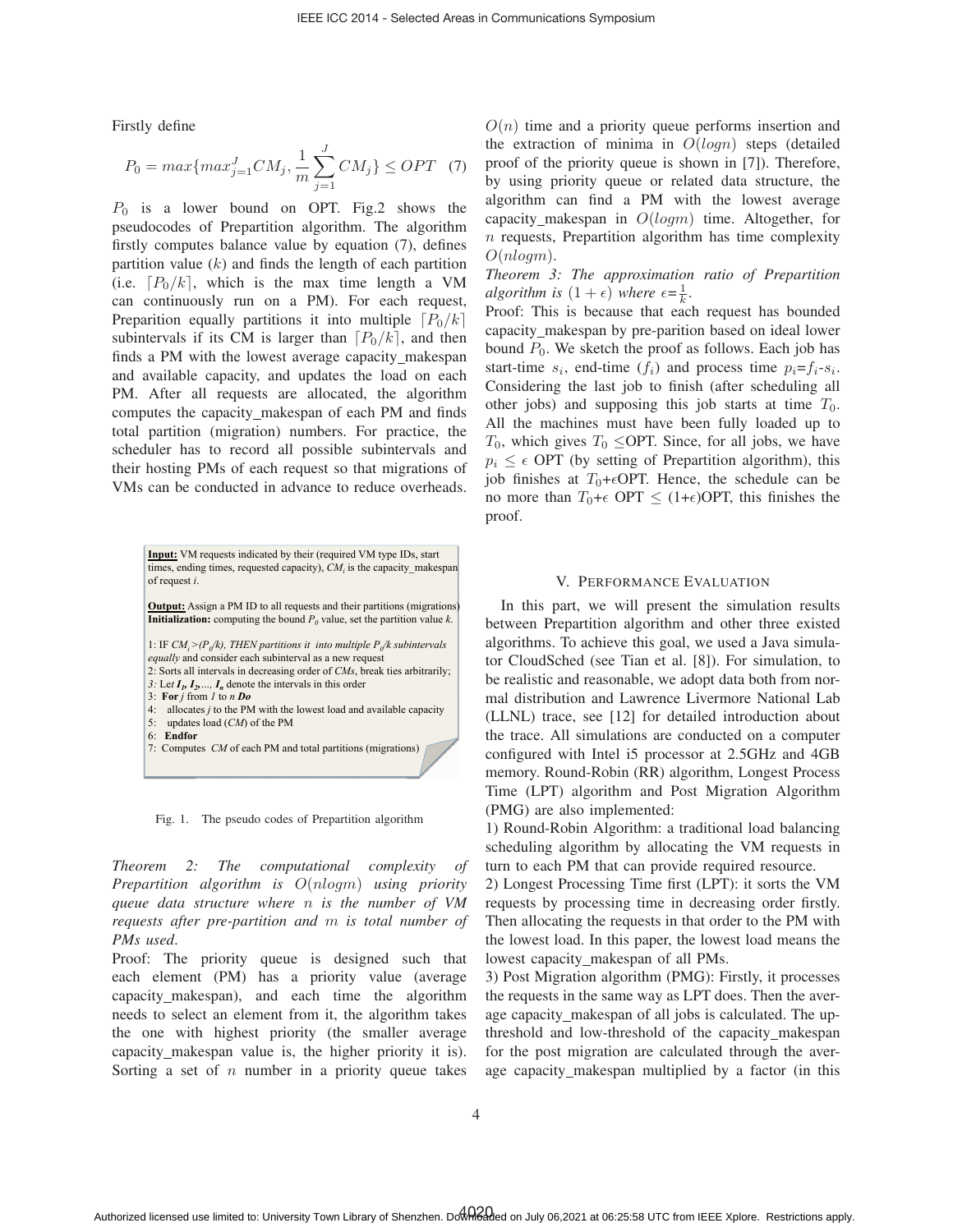Firstly define

$$
P_0 = \max\{\max_{j=1}^{J} CM_j, \frac{1}{m} \sum_{j=1}^{J} CM_j\} \le OPT \quad (7)
$$

 $P_0$  is a lower bound on OPT. Fig.2 shows the pseudocodes of Prepartition algorithm. The algorithm firstly computes balance value by equation (7), defines partition value  $(k)$  and finds the length of each partition (i.e.  $[P_0/k]$ , which is the max time length a VM can continuously run on a PM). For each request, Preparition equally partitions it into multiple  $[P_0/k]$ subintervals if its CM is larger than  $[P_0/k]$ , and then finds a PM with the lowest average capacity makespan and available capacity, and updates the load on each PM. After all requests are allocated, the algorithm computes the capacity makespan of each PM and finds total partition (migration) numbers. For practice, the scheduler has to record all possible subintervals and their hosting PMs of each request so that migrations of VMs can be conducted in advance to reduce overheads.

**Input:** VM requests indicated by their (required VM type IDs, start times, ending times, requested capacity),  $CM<sub>i</sub>$  is the capacity\_makespan of request *i*. **Output:** Assign a PM ID to all requests and their partitions (migrations) **Initialization:** computing the bound  $P_0$  value, set the partition value  $k$ . 1: IF  $CM_i > (P_0/k)$ , THEN partitions it into multiple  $P_0/k$  subintervals *equally* and consider each subinterval as a new request 2: Sorts all intervals in decreasing order of *CMs*, break ties arbitrarily; 3: Let  $I_1, I_2, \ldots, I_n$  denote the intervals in this order 3: **For**  $j$  from  $l$  to  $n$  *Do* 4: allocates  $j$  to the PM with the lowest load and available capacity 5: updates load (*CM*) of the PM 6: **Endfor**  7: Computes *CM* of each PM and total partitions (migrations)

Fig. 1. The pseudo codes of Prepartition algorithm

*Theorem 2: The computational complexity of Prepartition algorithm is* O(nlogm) *using priority queue data structure where* n *is the number of VM requests after pre-partition and* m *is total number of PMs used*.

Proof: The priority queue is designed such that each element (PM) has a priority value (average capacity makespan), and each time the algorithm needs to select an element from it, the algorithm takes the one with highest priority (the smaller average capacity makespan value is, the higher priority it is). Sorting a set of  $n$  number in a priority queue takes  $O(n)$  time and a priority queue performs insertion and the extraction of minima in  $O(logn)$  steps (detailed proof of the priority queue is shown in [7]). Therefore, by using priority queue or related data structure, the algorithm can find a PM with the lowest average capacity makespan in  $O(logm)$  time. Altogether, for  $n$  requests, Prepartition algorithm has time complexity O(nlogm).

*Theorem 3: The approximation ratio of Prepartition algorithm is*  $(1 + \epsilon)$  *where*  $\epsilon = \frac{1}{k}$ .

Proof: This is because that each request has bounded capacity makespan by pre-parition based on ideal lower bound  $P_0$ . We sketch the proof as follows. Each job has start-time  $s_i$ , end-time  $(f_i)$  and process time  $p_i = f_i - s_i$ . Considering the last job to finish (after scheduling all other jobs) and supposing this job starts at time  $T_0$ . All the machines must have been fully loaded up to  $T_0$ , which gives  $T_0 \leq$ OPT. Since, for all jobs, we have  $p_i \leq \epsilon$  OPT (by setting of Prepartition algorithm), this job finishes at  $T_0 + \epsilon$ OPT. Hence, the schedule can be no more than  $T_0 + \epsilon$  OPT  $\leq$  (1+ $\epsilon$ )OPT, this finishes the proof.

## V. PERFORMANCE EVALUATION

In this part, we will present the simulation results between Prepartition algorithm and other three existed algorithms. To achieve this goal, we used a Java simulator CloudSched (see Tian et al. [8]). For simulation, to be realistic and reasonable, we adopt data both from normal distribution and Lawrence Livermore National Lab (LLNL) trace, see [12] for detailed introduction about the trace. All simulations are conducted on a computer configured with Intel i5 processor at 2.5GHz and 4GB memory. Round-Robin (RR) algorithm, Longest Process Time (LPT) algorithm and Post Migration Algorithm (PMG) are also implemented:

1) Round-Robin Algorithm: a traditional load balancing scheduling algorithm by allocating the VM requests in turn to each PM that can provide required resource.

2) Longest Processing Time first (LPT): it sorts the VM requests by processing time in decreasing order firstly. Then allocating the requests in that order to the PM with the lowest load. In this paper, the lowest load means the lowest capacity\_makespan of all PMs.

3) Post Migration algorithm (PMG): Firstly, it processes the requests in the same way as LPT does. Then the average capacity makespan of all jobs is calculated. The upthreshold and low-threshold of the capacity\_makespan for the post migration are calculated through the average capacity\_makespan multiplied by a factor (in this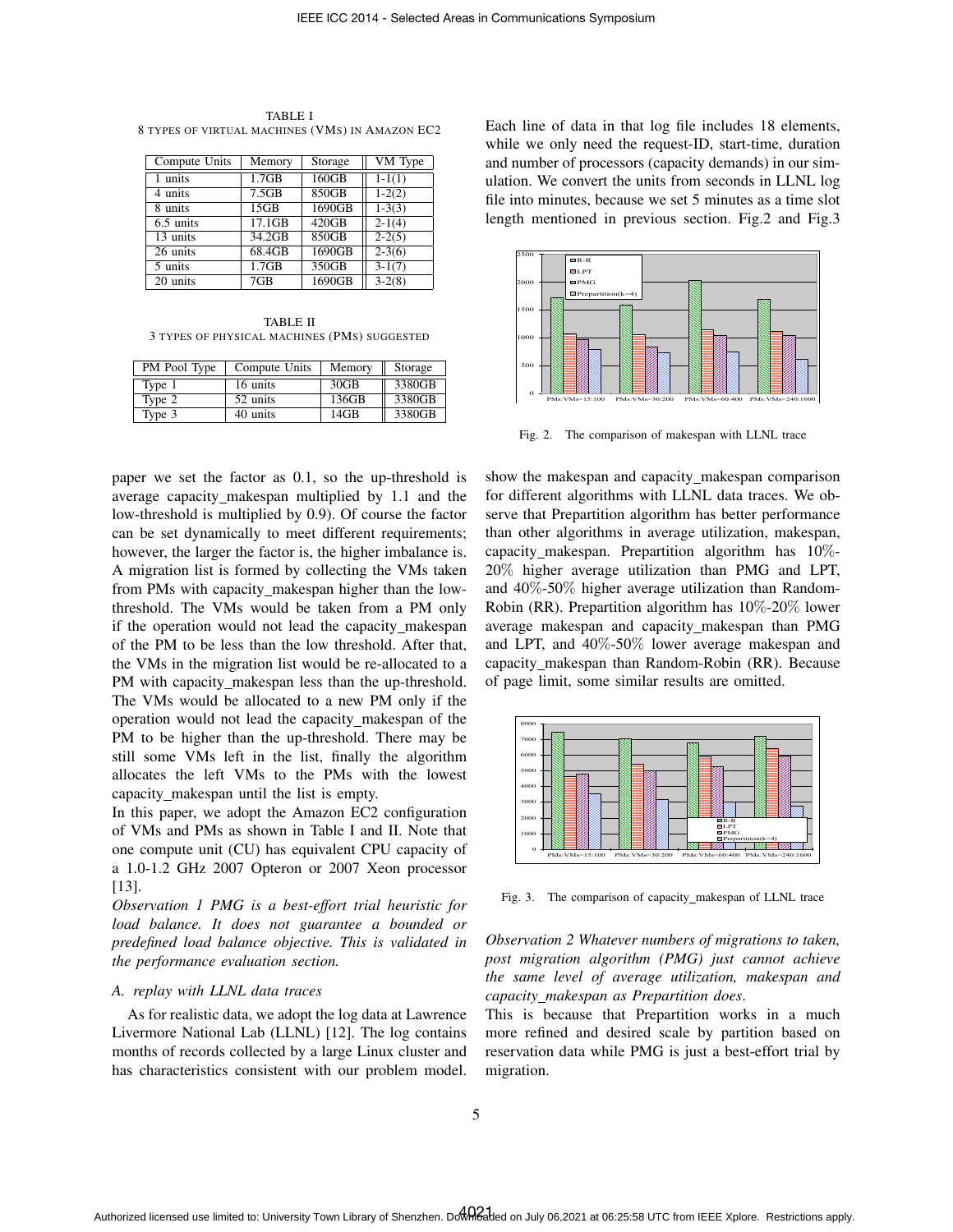TABLE I 8 TYPES OF VIRTUAL MACHINES (VMS) IN AMAZON EC2

| Compute Units | Memory               | Storage | VM Type    |
|---------------|----------------------|---------|------------|
| 1 units       | 1.7GB                | 160GB   | $1-1(1)$   |
| 4 units       | 7.5GB                | 850GB   | $1-2(2)$   |
| 8 units       | 15GB                 | 1690GB  | $1-3(3)$   |
| 6.5 units     | 17.1GB               | 420GB   | $2-1(4)$   |
| 13 units      | 34.2GB               | 850GB   | $2-2(5)$   |
| 26 units      | $\overline{68.4}$ GB | 1690GB  | $2-3(6)$   |
| 5 units       | 1.7GB                | 350GB   | $3-1(7)$   |
| 20 units      | 7GB                  | 1690GB  | $3 - 2(8)$ |

TABLE II 3 TYPES OF PHYSICAL MACHINES (PMS) SUGGESTED

| PM Pool Type | Compute Units | Memory           | Storage |
|--------------|---------------|------------------|---------|
| Type 1       | 16 units      | 30 <sub>GB</sub> | 3380GB  |
| Type 2       | 52 units      | 136GB            | 3380GB  |
| Type 3       | 40 units      | $14$ GB          | 3380GB  |

paper we set the factor as 0.1, so the up-threshold is average capacity makespan multiplied by 1.1 and the low-threshold is multiplied by 0.9). Of course the factor can be set dynamically to meet different requirements; however, the larger the factor is, the higher imbalance is. A migration list is formed by collecting the VMs taken from PMs with capacity makespan higher than the lowthreshold. The VMs would be taken from a PM only if the operation would not lead the capacity makespan of the PM to be less than the low threshold. After that, the VMs in the migration list would be re-allocated to a PM with capacity\_makespan less than the up-threshold. The VMs would be allocated to a new PM only if the operation would not lead the capacity makespan of the PM to be higher than the up-threshold. There may be still some VMs left in the list, finally the algorithm allocates the left VMs to the PMs with the lowest capacity makespan until the list is empty.

In this paper, we adopt the Amazon EC2 configuration of VMs and PMs as shown in Table I and II. Note that one compute unit (CU) has equivalent CPU capacity of a 1.0-1.2 GHz 2007 Opteron or 2007 Xeon processor [13].

*Observation 1 PMG is a best-effort trial heuristic for load balance. It does not guarantee a bounded or predefined load balance objective. This is validated in the performance evaluation section.*

# *A. replay with LLNL data traces*

As for realistic data, we adopt the log data at Lawrence Livermore National Lab (LLNL) [12]. The log contains months of records collected by a large Linux cluster and has characteristics consistent with our problem model. Each line of data in that log file includes 18 elements, while we only need the request-ID, start-time, duration and number of processors (capacity demands) in our simulation. We convert the units from seconds in LLNL log file into minutes, because we set 5 minutes as a time slot length mentioned in previous section. Fig.2 and Fig.3



Fig. 2. The comparison of makespan with LLNL trace

show the makespan and capacity\_makespan comparison for different algorithms with LLNL data traces. We observe that Prepartition algorithm has better performance than other algorithms in average utilization, makespan, capacity makespan. Prepartition algorithm has 10%- 20% higher average utilization than PMG and LPT, and 40%-50% higher average utilization than Random-Robin (RR). Prepartition algorithm has 10%-20% lower average makespan and capacity makespan than PMG and LPT, and 40%-50% lower average makespan and capacity makespan than Random-Robin (RR). Because of page limit, some similar results are omitted.



Fig. 3. The comparison of capacity\_makespan of LLNL trace

*Observation 2 Whatever numbers of migrations to taken, post migration algorithm (PMG) just cannot achieve the same level of average utilization, makespan and capacity makespan as Prepartition does*.

This is because that Prepartition works in a much more refined and desired scale by partition based on reservation data while PMG is just a best-effort trial by migration.